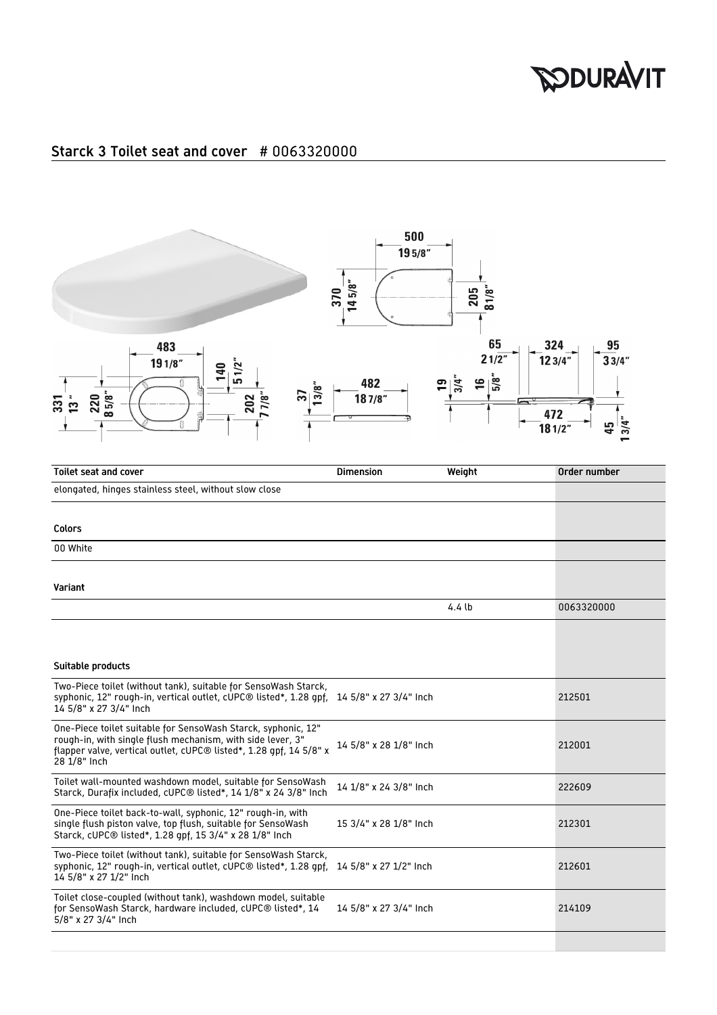## **SODURAVIT**

## Starck 3 Toilet seat and cover # 0063320000



| <b>Toilet seat and cover</b>                                                                                                                                                                                      | <b>Dimension</b>       | Weight | Order number |
|-------------------------------------------------------------------------------------------------------------------------------------------------------------------------------------------------------------------|------------------------|--------|--------------|
| elongated, hinges stainless steel, without slow close                                                                                                                                                             |                        |        |              |
|                                                                                                                                                                                                                   |                        |        |              |
| <b>Colors</b>                                                                                                                                                                                                     |                        |        |              |
| 00 White                                                                                                                                                                                                          |                        |        |              |
|                                                                                                                                                                                                                   |                        |        |              |
| Variant                                                                                                                                                                                                           |                        |        |              |
|                                                                                                                                                                                                                   |                        | 4.4lb  | 0063320000   |
|                                                                                                                                                                                                                   |                        |        |              |
|                                                                                                                                                                                                                   |                        |        |              |
| Suitable products                                                                                                                                                                                                 |                        |        |              |
| Two-Piece toilet (without tank), suitable for SensoWash Starck,<br>syphonic, 12" rough-in, vertical outlet, cUPC® listed*, 1.28 gpf, 14 5/8" x 27 3/4" Inch<br>14 5/8" x 27 3/4" Inch                             |                        |        | 212501       |
| One-Piece toilet suitable for SensoWash Starck, syphonic, 12"<br>rough-in, with single flush mechanism, with side lever, 3"<br>flapper valve, vertical outlet, cUPC® listed*, 1.28 gpf, 14 5/8" x<br>28 1/8" Inch | 14 5/8" x 28 1/8" Inch |        | 212001       |
| Toilet wall-mounted washdown model, suitable for SensoWash<br>Starck, Durafix included, cUPC® listed*, 14 1/8" x 24 3/8" Inch                                                                                     | 14 1/8" x 24 3/8" Inch |        | 222609       |
| One-Piece toilet back-to-wall, syphonic, 12" rough-in, with<br>single flush piston valve, top flush, suitable for SensoWash<br>Starck, cUPC® listed*, 1.28 gpf, 15 3/4" x 28 1/8" Inch                            | 15 3/4" x 28 1/8" Inch |        | 212301       |
| Two-Piece toilet (without tank), suitable for SensoWash Starck,<br>syphonic, 12" rough-in, vertical outlet, cUPC <sup>®</sup> listed*, 1.28 gpf,<br>14 5/8" x 27 1/2" Inch                                        | 14 5/8" x 27 1/2" Inch |        | 212601       |
| Toilet close-coupled (without tank), washdown model, suitable<br>for SensoWash Starck, hardware included, cUPC® listed*, 14<br>5/8" x 27 3/4" Inch                                                                | 14 5/8" x 27 3/4" Inch |        | 214109       |
|                                                                                                                                                                                                                   |                        |        |              |